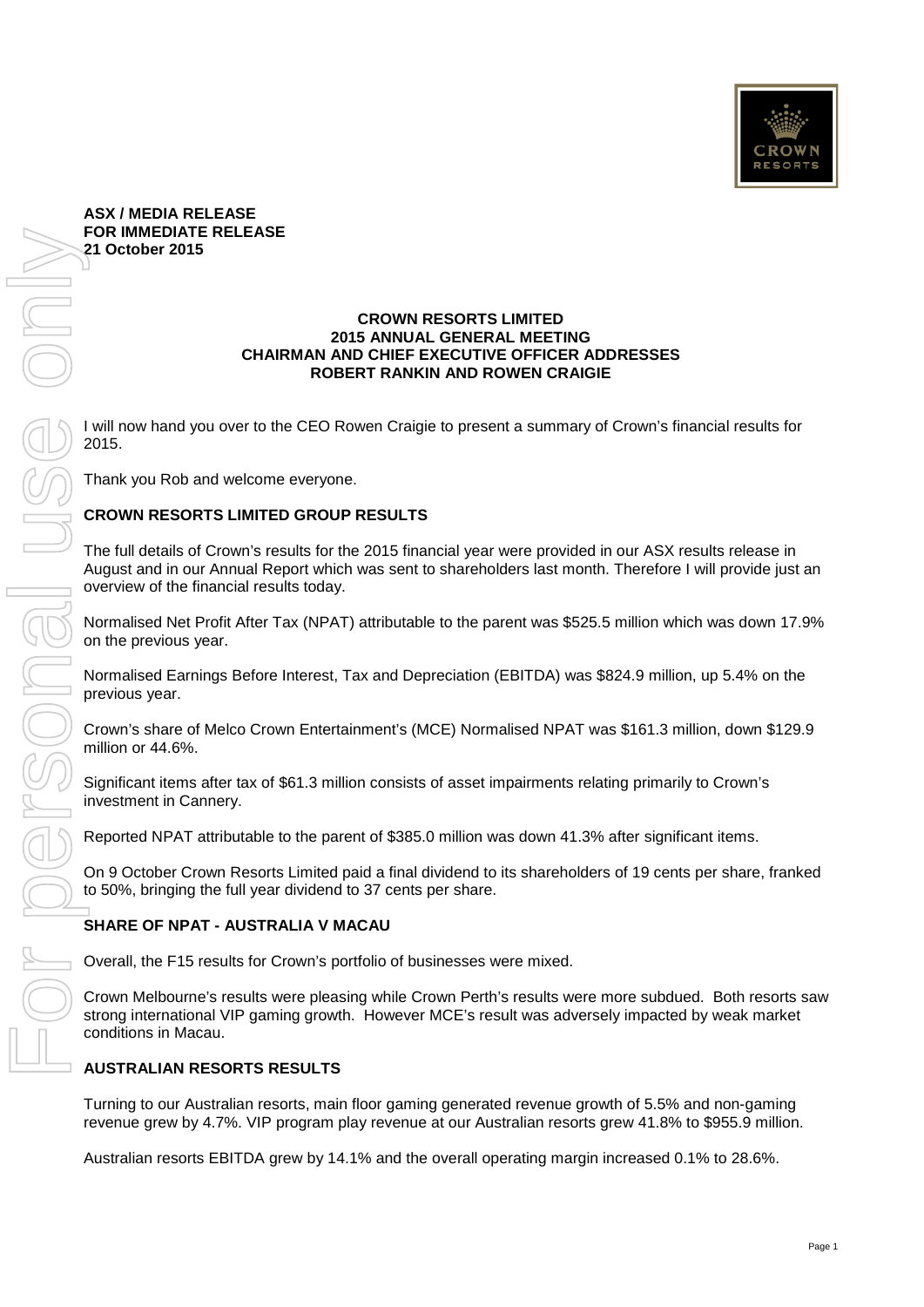

## **ASX / MEDIA RELEASE FOR IMMEDIATE RELEASE 21 October 2015**

### **CROWN RESORTS LIMITED 2015 ANNUAL GENERAL MEETING CHAIRMAN AND CHIEF EXECUTIVE OFFICER ADDRESSES ROBERT RANKIN AND ROWEN CRAIGIE**

I will now hand you over to the CEO Rowen Craigie to present a summary of Crown's financial results for 2015.

Thank you Rob and welcome everyone.

## **CROWN RESORTS LIMITED GROUP RESULTS**

The full details of Crown's results for the 2015 financial year were provided in our ASX results release in August and in our Annual Report which was sent to shareholders last month. Therefore I will provide just an overview of the financial results today.

Normalised Net Profit After Tax (NPAT) attributable to the parent was \$525.5 million which was down 17.9% on the previous year.

Normalised Earnings Before Interest, Tax and Depreciation (EBITDA) was \$824.9 million, up 5.4% on the previous year.

Crown's share of Melco Crown Entertainment's (MCE) Normalised NPAT was \$161.3 million, down \$129.9 million or 44.6%.

Significant items after tax of \$61.3 million consists of asset impairments relating primarily to Crown's investment in Cannery.

Reported NPAT attributable to the parent of \$385.0 million was down 41.3% after significant items.

On 9 October Crown Resorts Limited paid a final dividend to its shareholders of 19 cents per share, franked to 50%, bringing the full year dividend to 37 cents per share.

## **SHARE OF NPAT - AUSTRALIA V MACAU**

Overall, the F15 results for Crown's portfolio of businesses were mixed.

Crown Melbourne's results were pleasing while Crown Perth's results were more subdued. Both resorts saw strong international VIP gaming growth. However MCE's result was adversely impacted by weak market conditions in Macau.

## **AUSTRALIAN RESORTS RESULTS**

Turning to our Australian resorts, main floor gaming generated revenue growth of 5.5% and non-gaming revenue grew by 4.7%. VIP program play revenue at our Australian resorts grew 41.8% to \$955.9 million.

Australian resorts EBITDA grew by 14.1% and the overall operating margin increased 0.1% to 28.6%.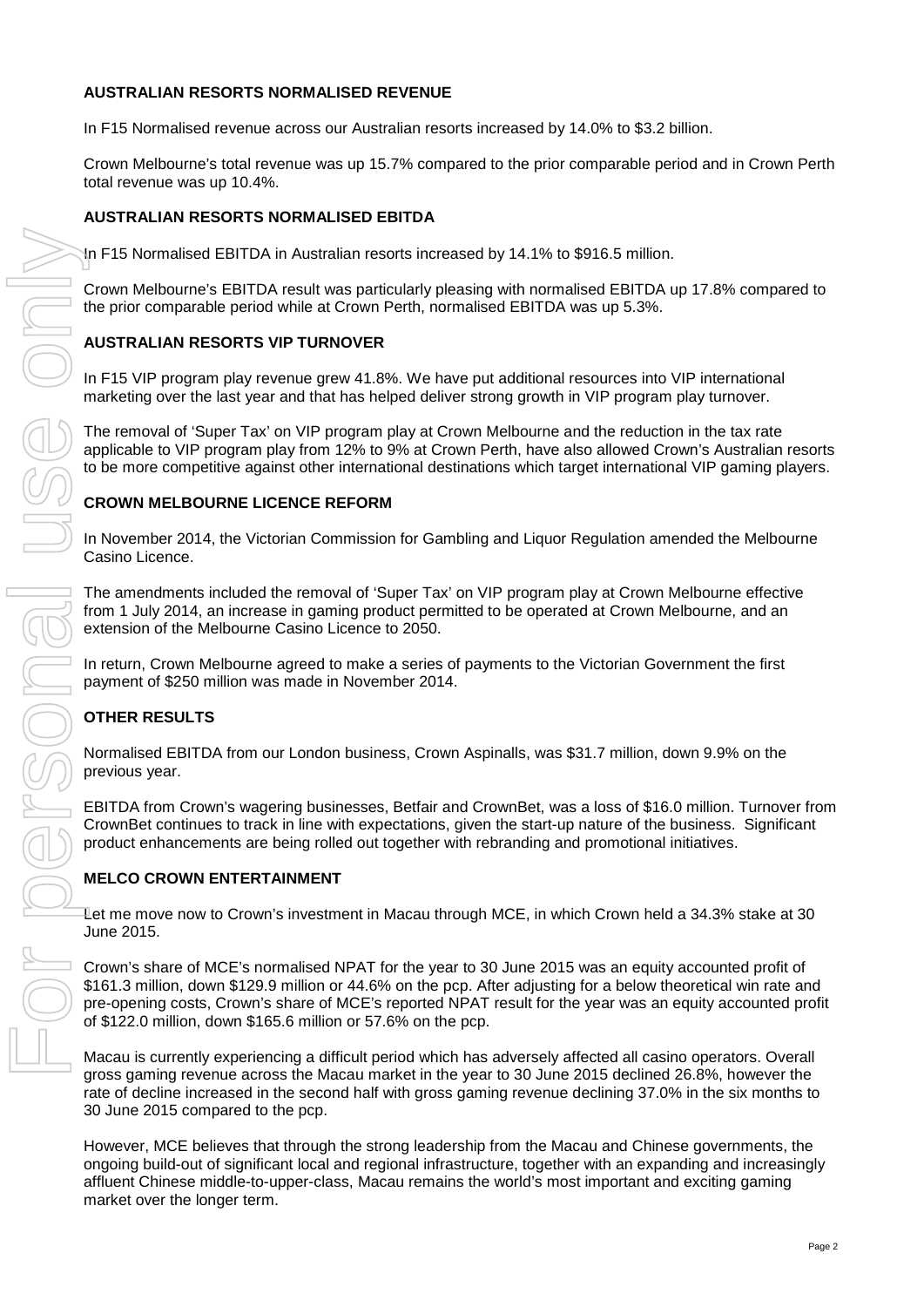## **AUSTRALIAN RESORTS NORMALISED REVENUE**

In F15 Normalised revenue across our Australian resorts increased by 14.0% to \$3.2 billion.

Crown Melbourne's total revenue was up 15.7% compared to the prior comparable period and in Crown Perth total revenue was up 10.4%.

## **AUSTRALIAN RESORTS NORMALISED EBITDA**

In F15 Normalised EBITDA in Australian resorts increased by 14.1% to \$916.5 million.

Crown Melbourne's EBITDA result was particularly pleasing with normalised EBITDA up 17.8% compared to the prior comparable period while at Crown Perth, normalised EBITDA was up 5.3%.

## **AUSTRALIAN RESORTS VIP TURNOVER**

In F15 VIP program play revenue grew 41.8%. We have put additional resources into VIP international marketing over the last year and that has helped deliver strong growth in VIP program play turnover.

The removal of 'Super Tax' on VIP program play at Crown Melbourne and the reduction in the tax rate applicable to VIP program play from 12% to 9% at Crown Perth, have also allowed Crown's Australian resorts to be more competitive against other international destinations which target international VIP gaming players.

## **CROWN MELBOURNE LICENCE REFORM**

In November 2014, the Victorian Commission for Gambling and Liquor Regulation amended the Melbourne Casino Licence.

The amendments included the removal of 'Super Tax' on VIP program play at Crown Melbourne effective from 1 July 2014, an increase in gaming product permitted to be operated at Crown Melbourne, and an extension of the Melbourne Casino Licence to 2050.

In return, Crown Melbourne agreed to make a series of payments to the Victorian Government the first payment of \$250 million was made in November 2014.

# **OTHER RESULTS**

Normalised EBITDA from our London business, Crown Aspinalls, was \$31.7 million, down 9.9% on the previous year.

EBITDA from Crown's wagering businesses, Betfair and CrownBet, was a loss of \$16.0 million. Turnover from CrownBet continues to track in line with expectations, given the start-up nature of the business. Significant product enhancements are being rolled out together with rebranding and promotional initiatives.

## **MELCO CROWN ENTERTAINMENT**

Let me move now to Crown's investment in Macau through MCE, in which Crown held a 34.3% stake at 30 June 2015.

Crown's share of MCE's normalised NPAT for the year to 30 June 2015 was an equity accounted profit of \$161.3 million, down \$129.9 million or 44.6% on the pcp. After adjusting for a below theoretical win rate and pre-opening costs, Crown's share of MCE's reported NPAT result for the year was an equity accounted profit of \$122.0 million, down \$165.6 million or 57.6% on the pcp.

Macau is currently experiencing a difficult period which has adversely affected all casino operators. Overall gross gaming revenue across the Macau market in the year to 30 June 2015 declined 26.8%, however the rate of decline increased in the second half with gross gaming revenue declining 37.0% in the six months to 30 June 2015 compared to the pcp.

However, MCE believes that through the strong leadership from the Macau and Chinese governments, the ongoing build-out of significant local and regional infrastructure, together with an expanding and increasingly affluent Chinese middle-to-upper-class, Macau remains the world's most important and exciting gaming market over the longer term.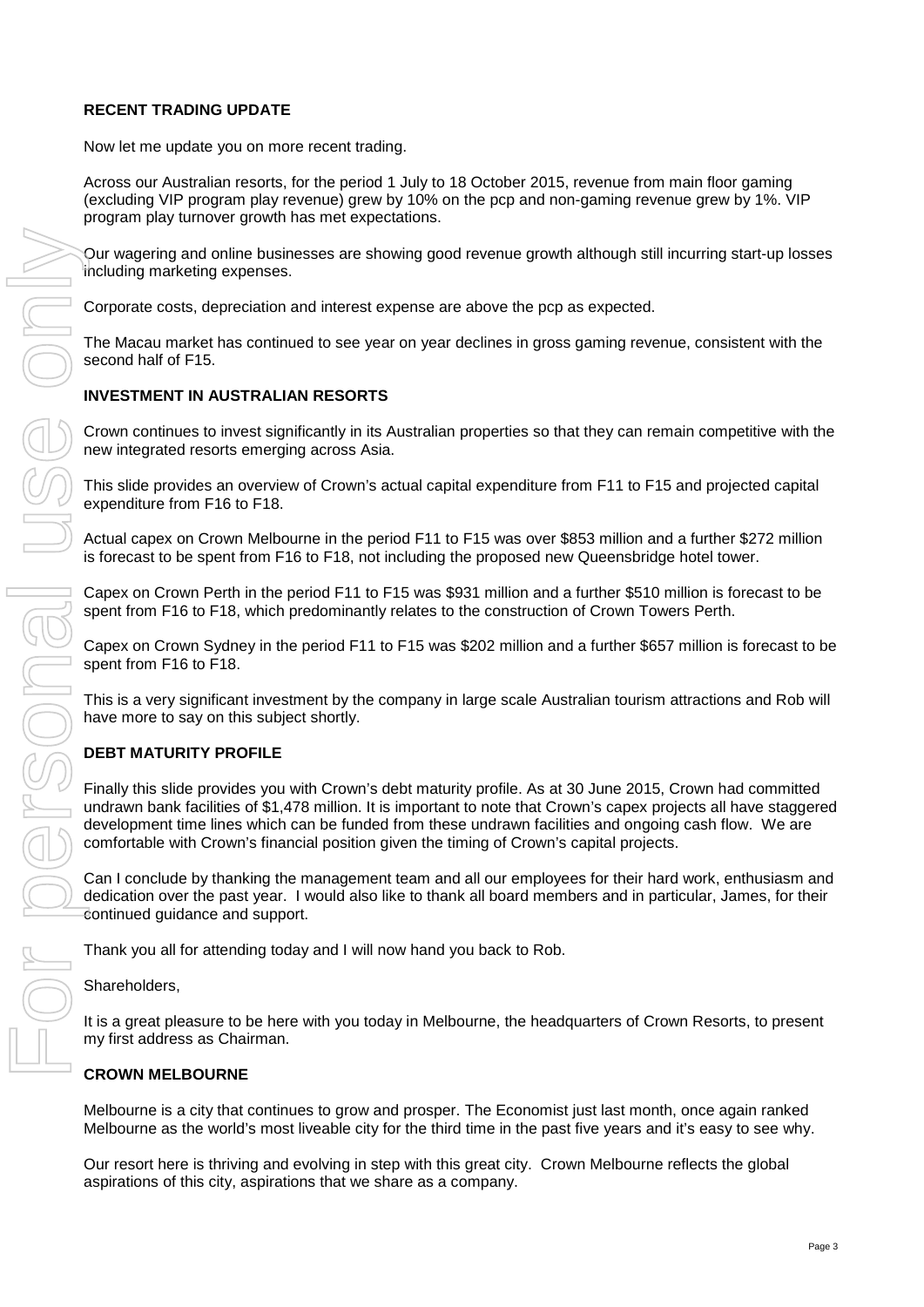# **RECENT TRADING UPDATE**

Now let me update you on more recent trading.

Across our Australian resorts, for the period 1 July to 18 October 2015, revenue from main floor gaming (excluding VIP program play revenue) grew by 10% on the pcp and non-gaming revenue grew by 1%. VIP program play turnover growth has met expectations.

Our wagering and online businesses are showing good revenue growth although still incurring start-up losses including marketing expenses.

Corporate costs, depreciation and interest expense are above the pcp as expected.

The Macau market has continued to see year on year declines in gross gaming revenue, consistent with the second half of F15.

## **INVESTMENT IN AUSTRALIAN RESORTS**

Crown continues to invest significantly in its Australian properties so that they can remain competitive with the new integrated resorts emerging across Asia.

This slide provides an overview of Crown's actual capital expenditure from F11 to F15 and projected capital expenditure from F16 to F18.

Actual capex on Crown Melbourne in the period F11 to F15 was over \$853 million and a further \$272 million is forecast to be spent from F16 to F18, not including the proposed new Queensbridge hotel tower.

Capex on Crown Perth in the period F11 to F15 was \$931 million and a further \$510 million is forecast to be spent from F16 to F18, which predominantly relates to the construction of Crown Towers Perth.

Capex on Crown Sydney in the period F11 to F15 was \$202 million and a further \$657 million is forecast to be spent from F16 to F18.

This is a very significant investment by the company in large scale Australian tourism attractions and Rob will have more to say on this subject shortly.

# **DEBT MATURITY PROFILE**

Finally this slide provides you with Crown's debt maturity profile. As at 30 June 2015, Crown had committed undrawn bank facilities of \$1,478 million. It is important to note that Crown's capex projects all have staggered development time lines which can be funded from these undrawn facilities and ongoing cash flow. We are comfortable with Crown's financial position given the timing of Crown's capital projects.

Can I conclude by thanking the management team and all our employees for their hard work, enthusiasm and dedication over the past year. I would also like to thank all board members and in particular, James, for their continued guidance and support.

Thank you all for attending today and I will now hand you back to Rob.

Shareholders,

It is a great pleasure to be here with you today in Melbourne, the headquarters of Crown Resorts, to present my first address as Chairman.

## **CROWN MELBOURNE**

Melbourne is a city that continues to grow and prosper. The Economist just last month, once again ranked Melbourne as the world's most liveable city for the third time in the past five years and it's easy to see why.

Our resort here is thriving and evolving in step with this great city. Crown Melbourne reflects the global aspirations of this city, aspirations that we share as a company.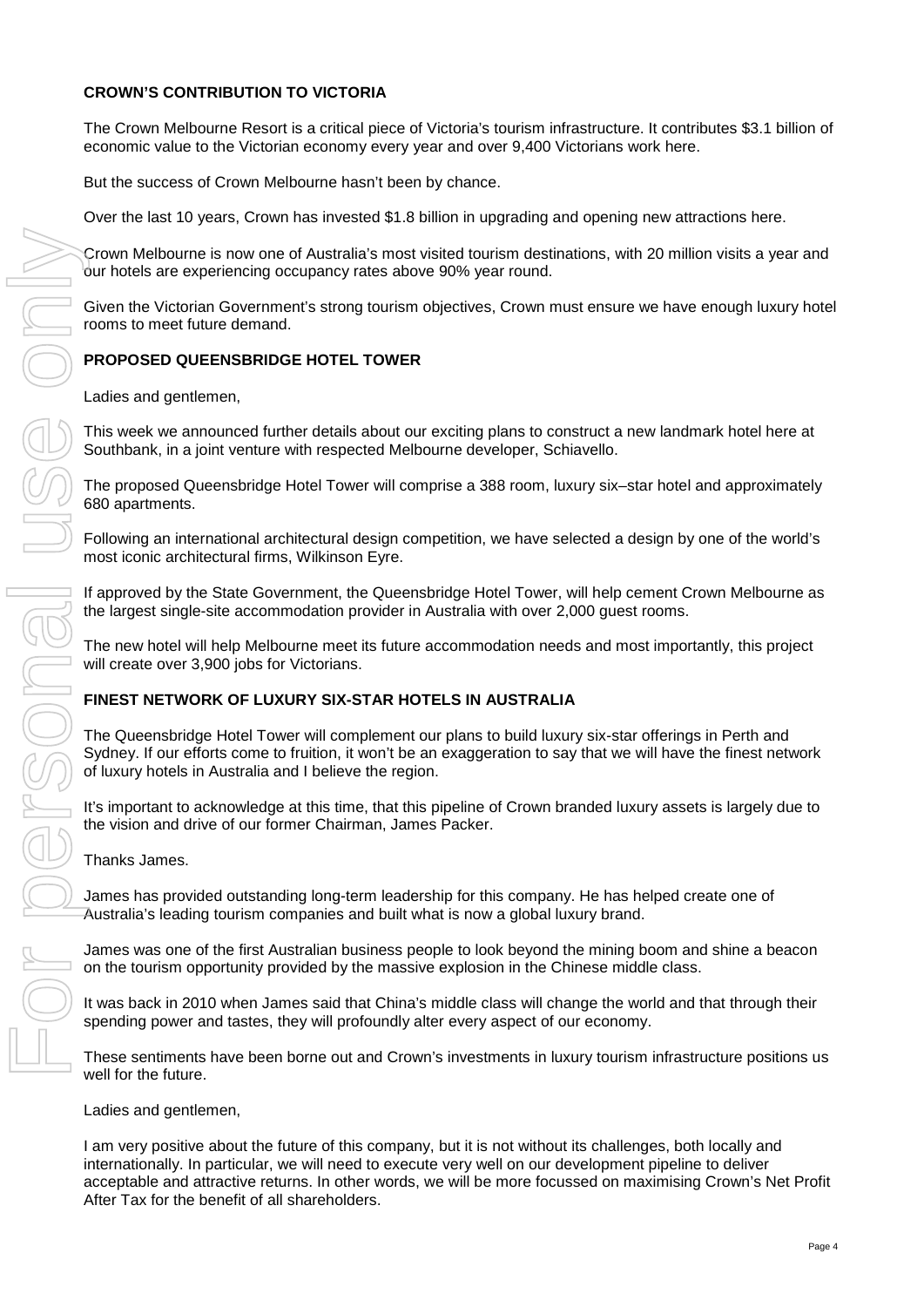## **CROWN'S CONTRIBUTION TO VICTORIA**

The Crown Melbourne Resort is a critical piece of Victoria's tourism infrastructure. It contributes \$3.1 billion of economic value to the Victorian economy every year and over 9,400 Victorians work here.

But the success of Crown Melbourne hasn't been by chance.

Over the last 10 years, Crown has invested \$1.8 billion in upgrading and opening new attractions here.

Crown Melbourne is now one of Australia's most visited tourism destinations, with 20 million visits a year and our hotels are experiencing occupancy rates above 90% year round.

Given the Victorian Government's strong tourism objectives, Crown must ensure we have enough luxury hotel rooms to meet future demand.

## **PROPOSED QUEENSBRIDGE HOTEL TOWER**

Ladies and gentlemen,

This week we announced further details about our exciting plans to construct a new landmark hotel here at Southbank, in a joint venture with respected Melbourne developer, Schiavello.

The proposed Queensbridge Hotel Tower will comprise a 388 room, luxury six–star hotel and approximately 680 apartments.

Following an international architectural design competition, we have selected a design by one of the world's most iconic architectural firms, Wilkinson Eyre.

If approved by the State Government, the Queensbridge Hotel Tower, will help cement Crown Melbourne as the largest single-site accommodation provider in Australia with over 2,000 guest rooms.

The new hotel will help Melbourne meet its future accommodation needs and most importantly, this project will create over 3,900 jobs for Victorians.

## **FINEST NETWORK OF LUXURY SIX-STAR HOTELS IN AUSTRALIA**

The Queensbridge Hotel Tower will complement our plans to build luxury six-star offerings in Perth and Sydney. If our efforts come to fruition, it won't be an exaggeration to say that we will have the finest network of luxury hotels in Australia and I believe the region.

It's important to acknowledge at this time, that this pipeline of Crown branded luxury assets is largely due to the vision and drive of our former Chairman, James Packer.

Thanks James.

James has provided outstanding long-term leadership for this company. He has helped create one of Australia's leading tourism companies and built what is now a global luxury brand.

James was one of the first Australian business people to look beyond the mining boom and shine a beacon on the tourism opportunity provided by the massive explosion in the Chinese middle class.

It was back in 2010 when James said that China's middle class will change the world and that through their spending power and tastes, they will profoundly alter every aspect of our economy.

These sentiments have been borne out and Crown's investments in luxury tourism infrastructure positions us well for the future.

#### Ladies and gentlemen,

I am very positive about the future of this company, but it is not without its challenges, both locally and internationally. In particular, we will need to execute very well on our development pipeline to deliver acceptable and attractive returns. In other words, we will be more focussed on maximising Crown's Net Profit After Tax for the benefit of all shareholders.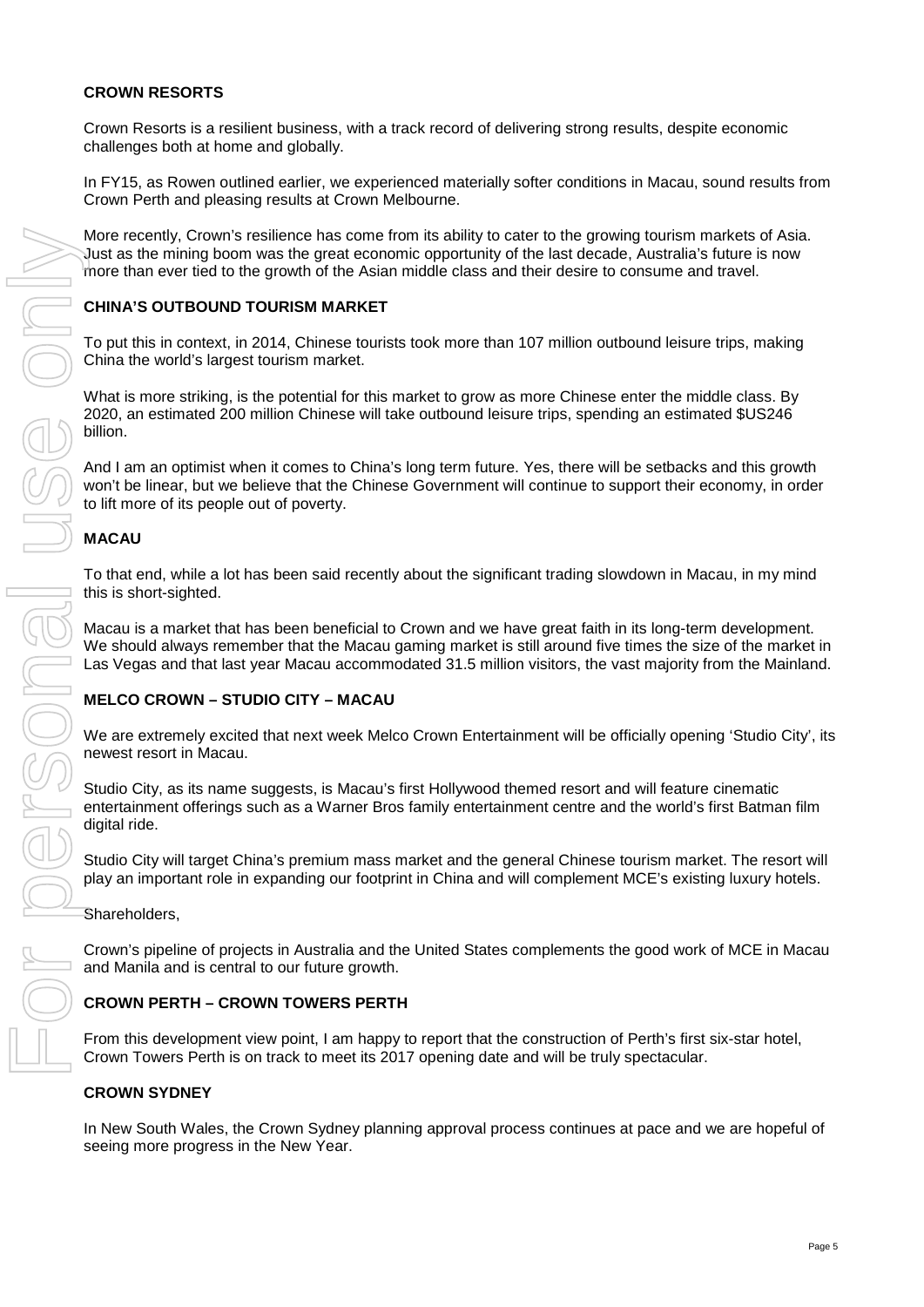## **CROWN RESORTS**

Crown Resorts is a resilient business, with a track record of delivering strong results, despite economic challenges both at home and globally.

In FY15, as Rowen outlined earlier, we experienced materially softer conditions in Macau, sound results from Crown Perth and pleasing results at Crown Melbourne.

More recently, Crown's resilience has come from its ability to cater to the growing tourism markets of Asia. Just as the mining boom was the great economic opportunity of the last decade, Australia's future is now more than ever tied to the growth of the Asian middle class and their desire to consume and travel.

## **CHINA'S OUTBOUND TOURISM MARKET**

To put this in context, in 2014, Chinese tourists took more than 107 million outbound leisure trips, making China the world's largest tourism market.

What is more striking, is the potential for this market to grow as more Chinese enter the middle class. By 2020, an estimated 200 million Chinese will take outbound leisure trips, spending an estimated \$US246 billion.

And I am an optimist when it comes to China's long term future. Yes, there will be setbacks and this growth won't be linear, but we believe that the Chinese Government will continue to support their economy, in order to lift more of its people out of poverty.

# **MACAU**

To that end, while a lot has been said recently about the significant trading slowdown in Macau, in my mind this is short-sighted.

Macau is a market that has been beneficial to Crown and we have great faith in its long-term development. We should always remember that the Macau gaming market is still around five times the size of the market in Las Vegas and that last year Macau accommodated 31.5 million visitors, the vast majority from the Mainland.

# **MELCO CROWN – STUDIO CITY – MACAU**

We are extremely excited that next week Melco Crown Entertainment will be officially opening 'Studio City', its newest resort in Macau.

Studio City, as its name suggests, is Macau's first Hollywood themed resort and will feature cinematic entertainment offerings such as a Warner Bros family entertainment centre and the world's first Batman film digital ride.

Studio City will target China's premium mass market and the general Chinese tourism market. The resort will play an important role in expanding our footprint in China and will complement MCE's existing luxury hotels.

Shareholders,

Crown's pipeline of projects in Australia and the United States complements the good work of MCE in Macau and Manila and is central to our future growth.

## **CROWN PERTH – CROWN TOWERS PERTH**

From this development view point, I am happy to report that the construction of Perth's first six-star hotel, Crown Towers Perth is on track to meet its 2017 opening date and will be truly spectacular.

## **CROWN SYDNEY**

In New South Wales, the Crown Sydney planning approval process continues at pace and we are hopeful of seeing more progress in the New Year.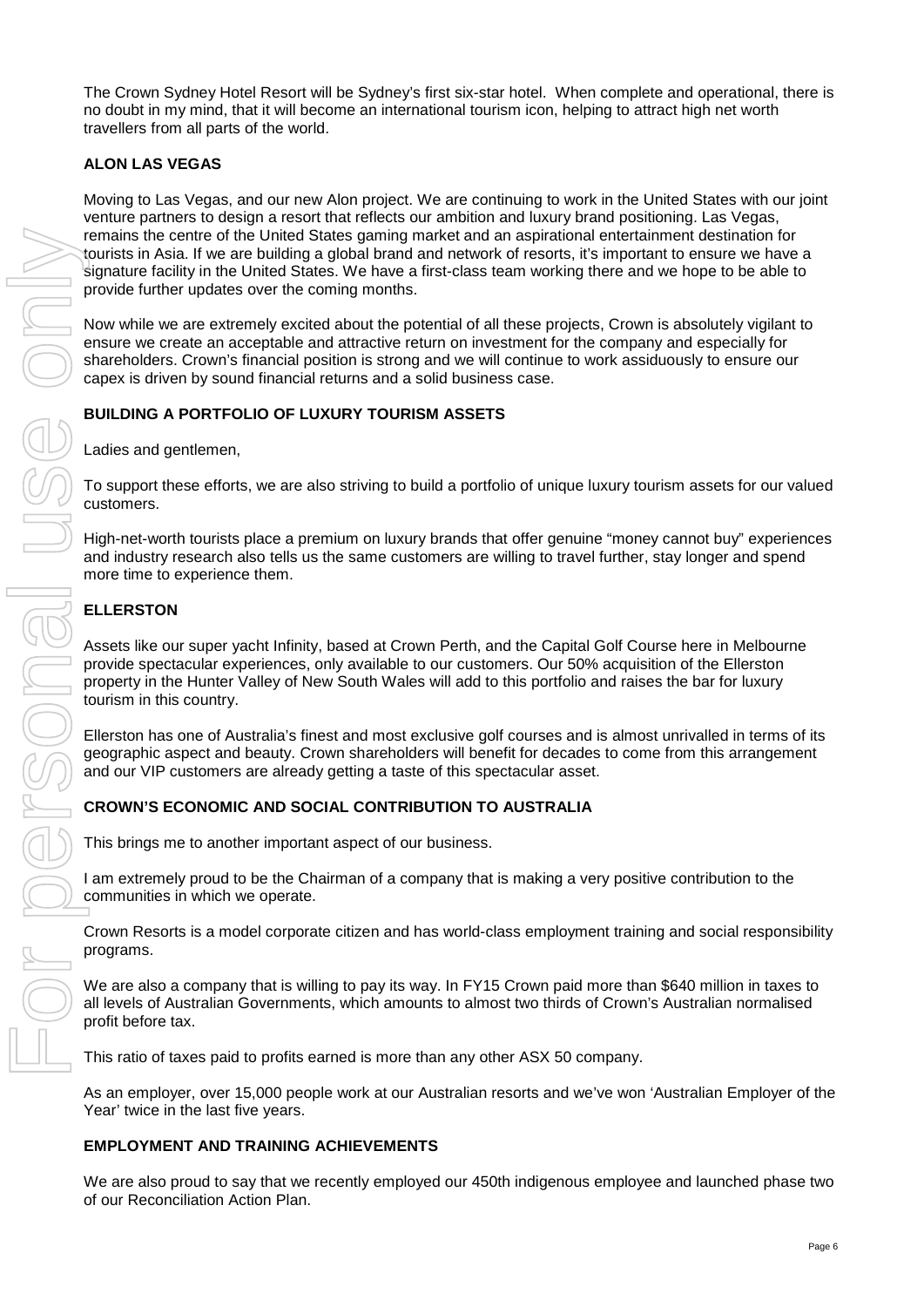The Crown Sydney Hotel Resort will be Sydney's first six-star hotel. When complete and operational, there is no doubt in my mind, that it will become an international tourism icon, helping to attract high net worth travellers from all parts of the world.

# **ALON LAS VEGAS**

Moving to Las Vegas, and our new Alon project. We are continuing to work in the United States with our joint venture partners to design a resort that reflects our ambition and luxury brand positioning. Las Vegas, remains the centre of the United States gaming market and an aspirational entertainment destination for tourists in Asia. If we are building a global brand and network of resorts, it's important to ensure we have a signature facility in the United States. We have a first-class team working there and we hope to be able to provide further updates over the coming months.

Now while we are extremely excited about the potential of all these projects, Crown is absolutely vigilant to ensure we create an acceptable and attractive return on investment for the company and especially for shareholders. Crown's financial position is strong and we will continue to work assiduously to ensure our capex is driven by sound financial returns and a solid business case.

## **BUILDING A PORTFOLIO OF LUXURY TOURISM ASSETS**

Ladies and gentlemen,

To support these efforts, we are also striving to build a portfolio of unique luxury tourism assets for our valued customers.

High-net-worth tourists place a premium on luxury brands that offer genuine "money cannot buy" experiences and industry research also tells us the same customers are willing to travel further, stay longer and spend more time to experience them.

## **ELLERSTON**

Assets like our super yacht Infinity, based at Crown Perth, and the Capital Golf Course here in Melbourne provide spectacular experiences, only available to our customers. Our 50% acquisition of the Ellerston property in the Hunter Valley of New South Wales will add to this portfolio and raises the bar for luxury tourism in this country.

Ellerston has one of Australia's finest and most exclusive golf courses and is almost unrivalled in terms of its geographic aspect and beauty. Crown shareholders will benefit for decades to come from this arrangement and our VIP customers are already getting a taste of this spectacular asset.

## **CROWN'S ECONOMIC AND SOCIAL CONTRIBUTION TO AUSTRALIA**

This brings me to another important aspect of our business.

I am extremely proud to be the Chairman of a company that is making a very positive contribution to the communities in which we operate.

Crown Resorts is a model corporate citizen and has world-class employment training and social responsibility programs.

We are also a company that is willing to pay its way. In FY15 Crown paid more than \$640 million in taxes to all levels of Australian Governments, which amounts to almost two thirds of Crown's Australian normalised profit before tax.

This ratio of taxes paid to profits earned is more than any other ASX 50 company.

As an employer, over 15,000 people work at our Australian resorts and we've won 'Australian Employer of the Year' twice in the last five years.

## **EMPLOYMENT AND TRAINING ACHIEVEMENTS**

We are also proud to say that we recently employed our 450th indigenous employee and launched phase two of our Reconciliation Action Plan.